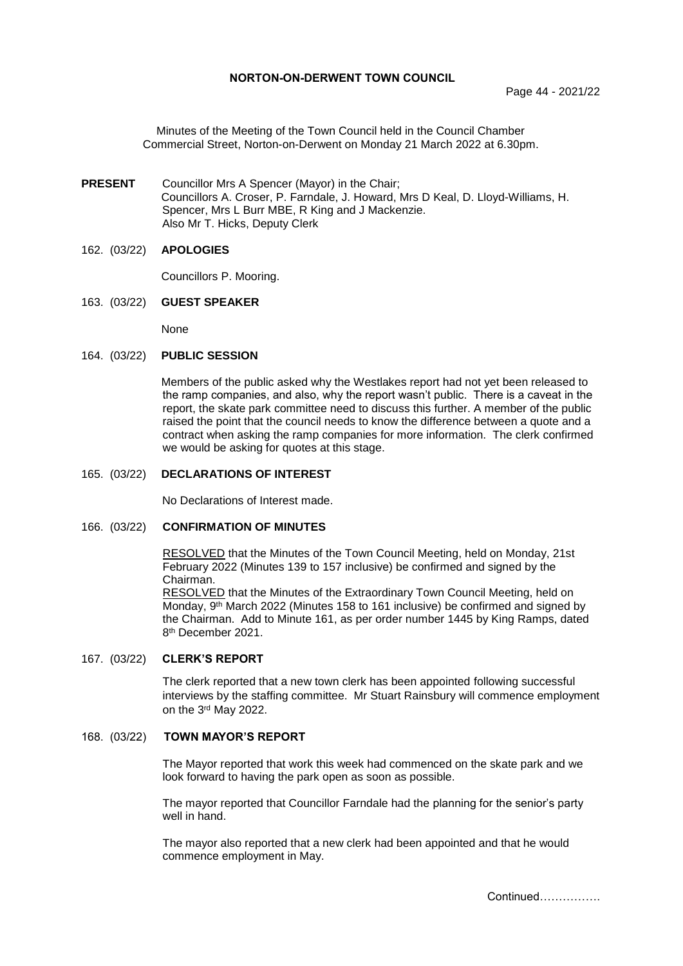Minutes of the Meeting of the Town Council held in the Council Chamber Commercial Street, Norton-on-Derwent on Monday 21 March 2022 at 6.30pm.

- **PRESENT** Councillor Mrs A Spencer (Mayor) in the Chair; Councillors A. Croser, P. Farndale, J. Howard, Mrs D Keal, D. Lloyd-Williams, H. Spencer, Mrs L Burr MBE, R King and J Mackenzie. Also Mr T. Hicks, Deputy Clerk
- 162. (03/22) **APOLOGIES**

Councillors P. Mooring.

163. (03/22) **GUEST SPEAKER**

None

#### 164. (03/22) **PUBLIC SESSION**

Members of the public asked why the Westlakes report had not yet been released to the ramp companies, and also, why the report wasn't public. There is a caveat in the report, the skate park committee need to discuss this further. A member of the public raised the point that the council needs to know the difference between a quote and a contract when asking the ramp companies for more information. The clerk confirmed we would be asking for quotes at this stage.

## 165. (03/22) **DECLARATIONS OF INTEREST**

No Declarations of Interest made.

# 166. (03/22) **CONFIRMATION OF MINUTES**

 RESOLVED that the Minutes of the Town Council Meeting, held on Monday, 21st February 2022 (Minutes 139 to 157 inclusive) be confirmed and signed by the Chairman.

RESOLVED that the Minutes of the Extraordinary Town Council Meeting, held on Monday, 9th March 2022 (Minutes 158 to 161 inclusive) be confirmed and signed by the Chairman. Add to Minute 161, as per order number 1445 by King Ramps, dated 8 th December 2021.

# 167. (03/22) **CLERK'S REPORT**

The clerk reported that a new town clerk has been appointed following successful interviews by the staffing committee. Mr Stuart Rainsbury will commence employment on the 3rd May 2022.

### 168. (03/22) **TOWN MAYOR'S REPORT**

The Mayor reported that work this week had commenced on the skate park and we look forward to having the park open as soon as possible.

The mayor reported that Councillor Farndale had the planning for the senior's party well in hand.

The mayor also reported that a new clerk had been appointed and that he would commence employment in May.

Continued…………….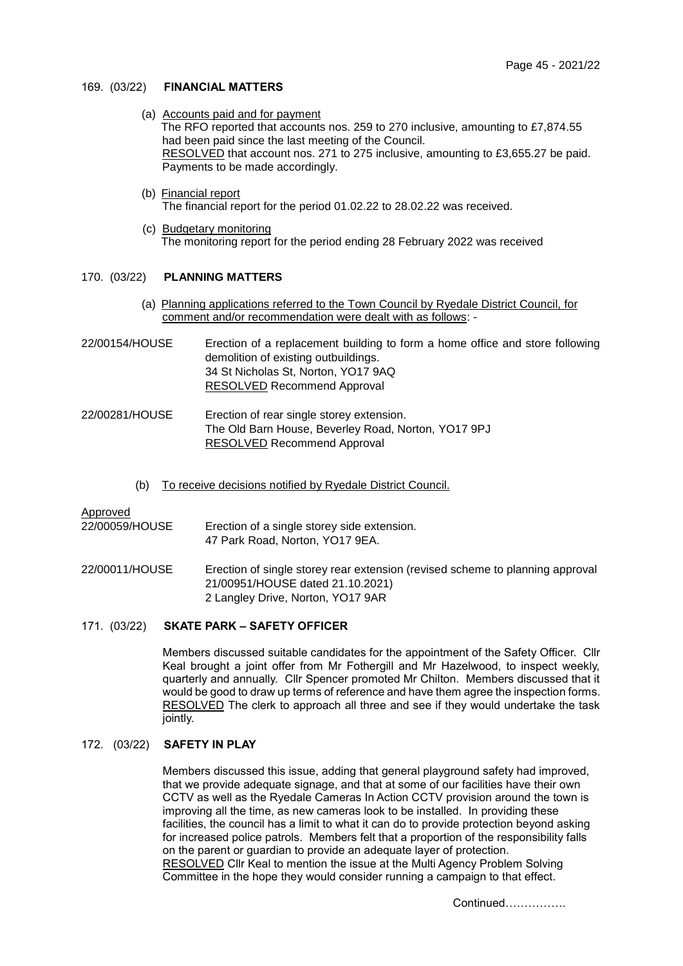## 169. (03/22) **FINANCIAL MATTERS**

- (a) Accounts paid and for payment The RFO reported that accounts nos. 259 to 270 inclusive, amounting to £7,874.55 had been paid since the last meeting of the Council. RESOLVED that account nos. 271 to 275 inclusive, amounting to £3,655.27 be paid. Payments to be made accordingly.
- (b) Financial report The financial report for the period 01.02.22 to 28.02.22 was received.
- (c) Budgetary monitoring The monitoring report for the period ending 28 February 2022 was received

## 170. (03/22) **PLANNING MATTERS**

- (a) Planning applications referred to the Town Council by Ryedale District Council, for comment and/or recommendation were dealt with as follows: -
- 22/00154/HOUSE Erection of a replacement building to form a home office and store following demolition of existing outbuildings. 34 St Nicholas St, Norton, YO17 9AQ RESOLVED Recommend Approval
- 22/00281/HOUSE Erection of rear single storey extension. The Old Barn House, Beverley Road, Norton, YO17 9PJ RESOLVED Recommend Approval
	- (b) To receive decisions notified by Ryedale District Council.

#### Approved

- 22/00059/HOUSE Erection of a single storey side extension. 47 Park Road, Norton, YO17 9EA.
- 22/00011/HOUSE Erection of single storey rear extension (revised scheme to planning approval 21/00951/HOUSE dated 21.10.2021) 2 Langley Drive, Norton, YO17 9AR

# 171. (03/22) **SKATE PARK – SAFETY OFFICER**

Members discussed suitable candidates for the appointment of the Safety Officer. Cllr Keal brought a joint offer from Mr Fothergill and Mr Hazelwood, to inspect weekly, quarterly and annually. Cllr Spencer promoted Mr Chilton. Members discussed that it would be good to draw up terms of reference and have them agree the inspection forms. RESOLVED The clerk to approach all three and see if they would undertake the task jointly.

#### 172. (03/22) **SAFETY IN PLAY**

Members discussed this issue, adding that general playground safety had improved, that we provide adequate signage, and that at some of our facilities have their own CCTV as well as the Ryedale Cameras In Action CCTV provision around the town is improving all the time, as new cameras look to be installed. In providing these facilities, the council has a limit to what it can do to provide protection beyond asking for increased police patrols. Members felt that a proportion of the responsibility falls on the parent or guardian to provide an adequate layer of protection. RESOLVED Cllr Keal to mention the issue at the Multi Agency Problem Solving Committee in the hope they would consider running a campaign to that effect.

Continued…………….